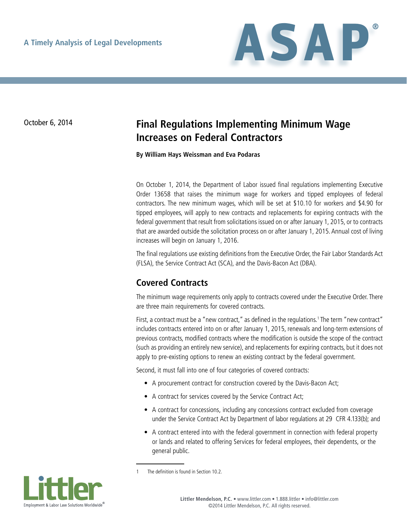

# October 6, 2014 **Final Regulations Implementing Minimum Wage Increases on Federal Contractors**

**By William Hays Weissman and Eva Podaras**

On October 1, 2014, the Department of Labor issued final regulations implementing Executive Order 13658 that raises the minimum wage for workers and tipped employees of federal contractors. The new minimum wages, which will be set at \$10.10 for workers and \$4.90 for tipped employees, will apply to new contracts and replacements for expiring contracts with the federal government that result from solicitations issued on or after January 1, 2015, or to contracts that are awarded outside the solicitation process on or after January 1, 2015. Annual cost of living increases will begin on January 1, 2016.

The final regulations use existing definitions from the Executive Order, the Fair Labor Standards Act (FLSA), the Service Contract Act (SCA), and the Davis-Bacon Act (DBA).

## **Covered Contracts**

The minimum wage requirements only apply to contracts covered under the Executive Order. There are three main requirements for covered contracts.

First, a contract must be a "new contract," as defined in the regulations.<sup>1</sup> The term "new contract" includes contracts entered into on or after January 1, 2015, renewals and long-term extensions of previous contracts, modified contracts where the modification is outside the scope of the contract (such as providing an entirely new service), and replacements for expiring contracts, but it does not apply to pre-existing options to renew an existing contract by the federal government.

Second, it must fall into one of four categories of covered contracts:

- A procurement contract for construction covered by the Davis-Bacon Act;
- A contract for services covered by the Service Contract Act;
- A contract for concessions, including any concessions contract excluded from coverage under the Service Contract Act by Department of labor regulations at 29 CFR 4.133(b); and
- A contract entered into with the federal government in connection with federal property or lands and related to offering Services for federal employees, their dependents, or the general public.



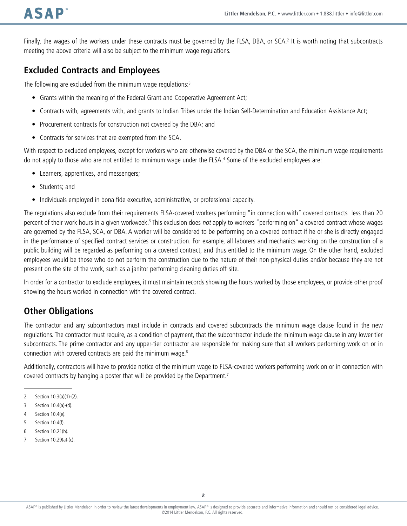Finally, the wages of the workers under these contracts must be governed by the FLSA, DBA, or SCA.<sup>2</sup> It is worth noting that subcontracts meeting the above criteria will also be subject to the minimum wage regulations.

### **Excluded Contracts and Employees**

The following are excluded from the minimum wage regulations: $3$ 

- Grants within the meaning of the Federal Grant and Cooperative Agreement Act;
- • Contracts with, agreements with, and grants to Indian Tribes under the Indian Self-Determination and Education Assistance Act;
- Procurement contracts for construction not covered by the DBA; and
- Contracts for services that are exempted from the SCA.

With respect to excluded employees, except for workers who are otherwise covered by the DBA or the SCA, the minimum wage requirements do not apply to those who are not entitled to minimum wage under the FLSA.4 Some of the excluded employees are:

- Learners, apprentices, and messengers;
- Students; and
- Individuals employed in bona fide executive, administrative, or professional capacity.

The regulations also exclude from their requirements FLSA-covered workers performing "in connection with" covered contracts less than 20 percent of their work hours in a given workweek.<sup>5</sup> This exclusion does not apply to workers "performing on" a covered contract whose wages are governed by the FLSA, SCA, or DBA. A worker will be considered to be performing on a covered contract if he or she is directly engaged in the performance of specified contract services or construction. For example, all laborers and mechanics working on the construction of a public building will be regarded as performing on a covered contract, and thus entitled to the minimum wage. On the other hand, excluded employees would be those who do not perform the construction due to the nature of their non-physical duties and/or because they are not present on the site of the work, such as a janitor performing cleaning duties off-site.

In order for a contractor to exclude employees, it must maintain records showing the hours worked by those employees, or provide other proof showing the hours worked in connection with the covered contract.

### **Other Obligations**

The contractor and any subcontractors must include in contracts and covered subcontracts the minimum wage clause found in the new regulations. The contractor must require, as a condition of payment, that the subcontractor include the minimum wage clause in any lower-tier subcontracts. The prime contractor and any upper-tier contractor are responsible for making sure that all workers performing work on or in connection with covered contracts are paid the minimum wage.6

Additionally, contractors will have to provide notice of the minimum wage to FLSA-covered workers performing work on or in connection with covered contracts by hanging a poster that will be provided by the Department.<sup>7</sup>

7 Section 10.29(a)-(c).

<sup>2</sup> Section 10.3(a)(1)-(2).

<sup>3</sup> Section 10.4(a)-(d).

<sup>4</sup> Section 10.4(e).

<sup>5</sup> Section 10.4(f).

<sup>6</sup> Section 10.21(b).